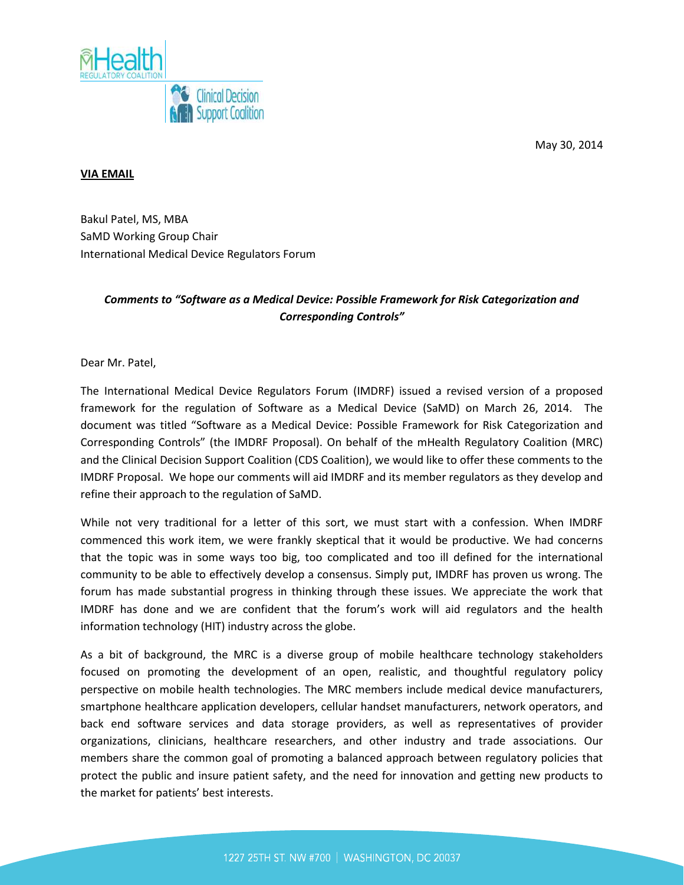



#### **VIA EMAIL**

Bakul Patel, MS, MBA SaMD Working Group Chair International Medical Device Regulators Forum

## *Comments to "Software as a Medical Device: Possible Framework for Risk Categorization and Corresponding Controls"*

Dear Mr. Patel,

The International Medical Device Regulators Forum (IMDRF) issued a revised version of a proposed framework for the regulation of Software as a Medical Device (SaMD) on March 26, 2014. The document was titled "Software as a Medical Device: Possible Framework for Risk Categorization and Corresponding Controls" (the IMDRF Proposal). On behalf of the mHealth Regulatory Coalition (MRC) and the Clinical Decision Support Coalition (CDS Coalition), we would like to offer these comments to the IMDRF Proposal. We hope our comments will aid IMDRF and its member regulators as they develop and refine their approach to the regulation of SaMD.

While not very traditional for a letter of this sort, we must start with a confession. When IMDRF commenced this work item, we were frankly skeptical that it would be productive. We had concerns that the topic was in some ways too big, too complicated and too ill defined for the international community to be able to effectively develop a consensus. Simply put, IMDRF has proven us wrong. The forum has made substantial progress in thinking through these issues. We appreciate the work that IMDRF has done and we are confident that the forum's work will aid regulators and the health information technology (HIT) industry across the globe.

As a bit of background, the MRC is a diverse group of mobile healthcare technology stakeholders focused on promoting the development of an open, realistic, and thoughtful regulatory policy perspective on mobile health technologies. The MRC members include medical device manufacturers, smartphone healthcare application developers, cellular handset manufacturers, network operators, and back end software services and data storage providers, as well as representatives of provider organizations, clinicians, healthcare researchers, and other industry and trade associations. Our members share the common goal of promoting a balanced approach between regulatory policies that protect the public and insure patient safety, and the need for innovation and getting new products to the market for patients' best interests.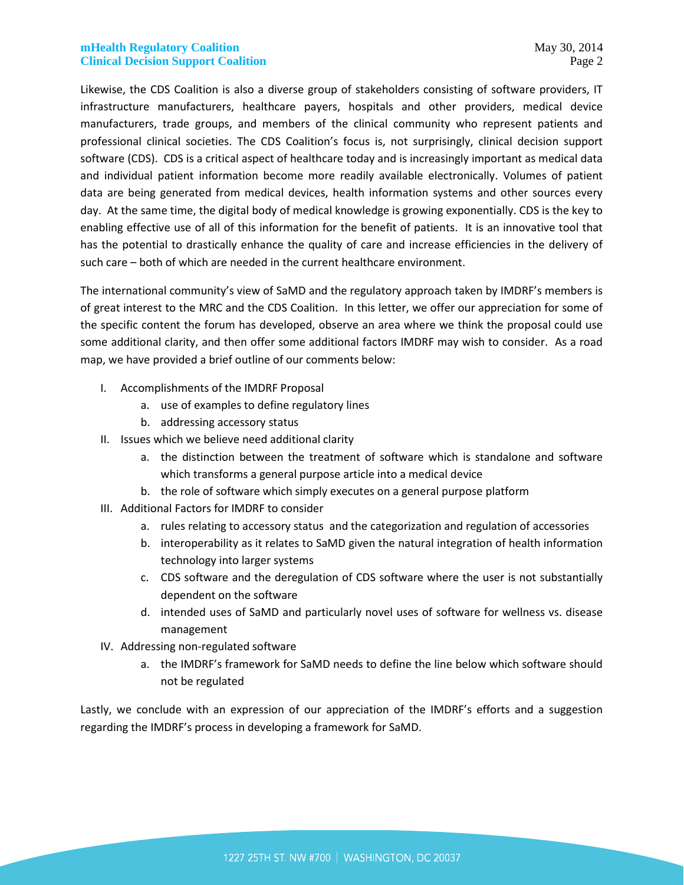Likewise, the CDS Coalition is also a diverse group of stakeholders consisting of software providers, IT infrastructure manufacturers, healthcare payers, hospitals and other providers, medical device manufacturers, trade groups, and members of the clinical community who represent patients and professional clinical societies. The CDS Coalition's focus is, not surprisingly, clinical decision support software (CDS). CDS is a critical aspect of healthcare today and is increasingly important as medical data and individual patient information become more readily available electronically. Volumes of patient data are being generated from medical devices, health information systems and other sources every day. At the same time, the digital body of medical knowledge is growing exponentially. CDS is the key to enabling effective use of all of this information for the benefit of patients. It is an innovative tool that has the potential to drastically enhance the quality of care and increase efficiencies in the delivery of such care – both of which are needed in the current healthcare environment.

The international community's view of SaMD and the regulatory approach taken by IMDRF's members is of great interest to the MRC and the CDS Coalition. In this letter, we offer our appreciation for some of the specific content the forum has developed, observe an area where we think the proposal could use some additional clarity, and then offer some additional factors IMDRF may wish to consider. As a road map, we have provided a brief outline of our comments below:

- I. Accomplishments of the IMDRF Proposal
	- a. use of examples to define regulatory lines
	- b. addressing accessory status
- II. Issues which we believe need additional clarity
	- a. the distinction between the treatment of software which is standalone and software which transforms a general purpose article into a medical device
	- b. the role of software which simply executes on a general purpose platform
- III. Additional Factors for IMDRF to consider
	- a. rules relating to accessory status and the categorization and regulation of accessories
	- b. interoperability as it relates to SaMD given the natural integration of health information technology into larger systems
	- c. CDS software and the deregulation of CDS software where the user is not substantially dependent on the software
	- d. intended uses of SaMD and particularly novel uses of software for wellness vs. disease management
- IV. Addressing non-regulated software
	- a. the IMDRF's framework for SaMD needs to define the line below which software should not be regulated

Lastly, we conclude with an expression of our appreciation of the IMDRF's efforts and a suggestion regarding the IMDRF's process in developing a framework for SaMD.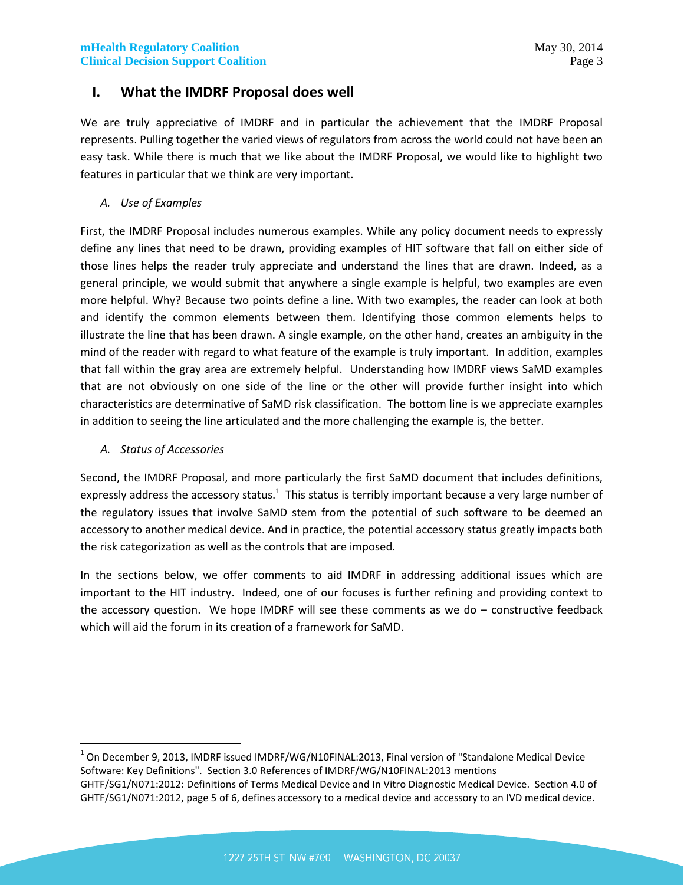# **I. What the IMDRF Proposal does well**

We are truly appreciative of IMDRF and in particular the achievement that the IMDRF Proposal represents. Pulling together the varied views of regulators from across the world could not have been an easy task. While there is much that we like about the IMDRF Proposal, we would like to highlight two features in particular that we think are very important.

*A. Use of Examples*

First, the IMDRF Proposal includes numerous examples. While any policy document needs to expressly define any lines that need to be drawn, providing examples of HIT software that fall on either side of those lines helps the reader truly appreciate and understand the lines that are drawn. Indeed, as a general principle, we would submit that anywhere a single example is helpful, two examples are even more helpful. Why? Because two points define a line. With two examples, the reader can look at both and identify the common elements between them. Identifying those common elements helps to illustrate the line that has been drawn. A single example, on the other hand, creates an ambiguity in the mind of the reader with regard to what feature of the example is truly important. In addition, examples that fall within the gray area are extremely helpful. Understanding how IMDRF views SaMD examples that are not obviously on one side of the line or the other will provide further insight into which characteristics are determinative of SaMD risk classification. The bottom line is we appreciate examples in addition to seeing the line articulated and the more challenging the example is, the better.

*A. Status of Accessories*

Second, the IMDRF Proposal, and more particularly the first SaMD document that includes definitions, expressly address the accessory status.<sup>1</sup> This status is terribly important because a very large number of the regulatory issues that involve SaMD stem from the potential of such software to be deemed an accessory to another medical device. And in practice, the potential accessory status greatly impacts both the risk categorization as well as the controls that are imposed.

In the sections below, we offer comments to aid IMDRF in addressing additional issues which are important to the HIT industry. Indeed, one of our focuses is further refining and providing context to the accessory question. We hope IMDRF will see these comments as we do  $-$  constructive feedback which will aid the forum in its creation of a framework for SaMD.

 $^1$  On December 9, 2013, IMDRF issued IMDRF/WG/N10FINAL:2013, Final version of "Standalone Medical Device Software: Key Definitions". Section 3.0 References of IMDRF/WG/N10FINAL:2013 mentions GHTF/SG1/N071:2012: Definitions of Terms Medical Device and In Vitro Diagnostic Medical Device. Section 4.0 of GHTF/SG1/N071:2012, page 5 of 6, defines accessory to a medical device and accessory to an IVD medical device.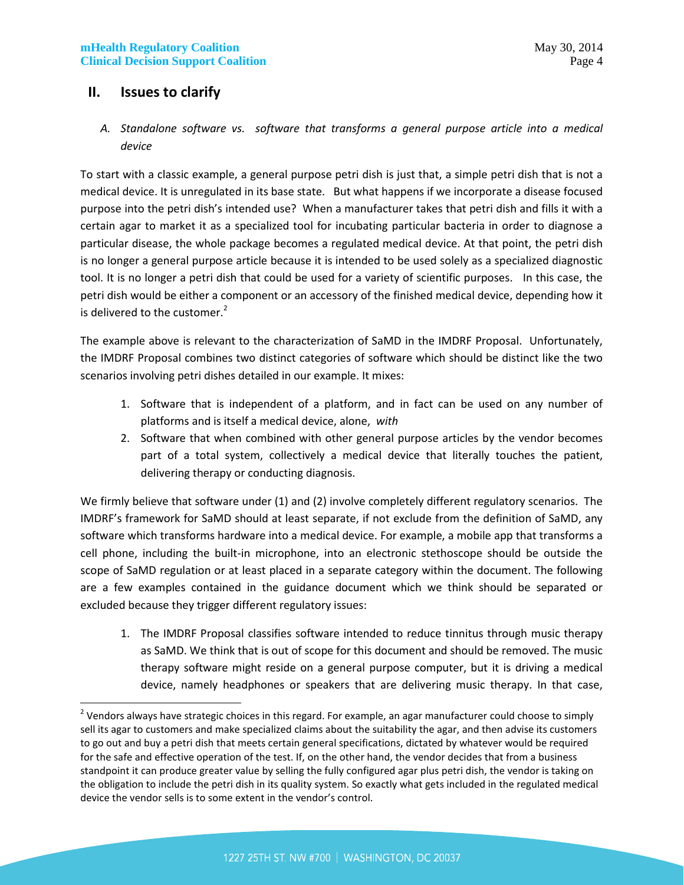# **II. Issues to clarify**

*A. Standalone software vs. software that transforms a general purpose article into a medical device*

To start with a classic example, a general purpose petri dish is just that, a simple petri dish that is not a medical device. It is unregulated in its base state. But what happens if we incorporate a disease focused purpose into the petri dish's intended use? When a manufacturer takes that petri dish and fills it with a certain agar to market it as a specialized tool for incubating particular bacteria in order to diagnose a particular disease, the whole package becomes a regulated medical device. At that point, the petri dish is no longer a general purpose article because it is intended to be used solely as a specialized diagnostic tool. It is no longer a petri dish that could be used for a variety of scientific purposes. In this case, the petri dish would be either a component or an accessory of the finished medical device, depending how it is delivered to the customer. $2$ 

The example above is relevant to the characterization of SaMD in the IMDRF Proposal. Unfortunately, the IMDRF Proposal combines two distinct categories of software which should be distinct like the two scenarios involving petri dishes detailed in our example. It mixes:

- 1. Software that is independent of a platform, and in fact can be used on any number of platforms and is itself a medical device, alone, *with*
- 2. Software that when combined with other general purpose articles by the vendor becomes part of a total system, collectively a medical device that literally touches the patient, delivering therapy or conducting diagnosis.

We firmly believe that software under (1) and (2) involve completely different regulatory scenarios. The IMDRF's framework for SaMD should at least separate, if not exclude from the definition of SaMD, any software which transforms hardware into a medical device. For example, a mobile app that transforms a cell phone, including the built-in microphone, into an electronic stethoscope should be outside the scope of SaMD regulation or at least placed in a separate category within the document. The following are a few examples contained in the guidance document which we think should be separated or excluded because they trigger different regulatory issues:

1. The IMDRF Proposal classifies software intended to reduce tinnitus through music therapy as SaMD. We think that is out of scope for this document and should be removed. The music therapy software might reside on a general purpose computer, but it is driving a medical device, namely headphones or speakers that are delivering music therapy. In that case,

 $^2$  Vendors always have strategic choices in this regard. For example, an agar manufacturer could choose to simply sell its agar to customers and make specialized claims about the suitability the agar, and then advise its customers to go out and buy a petri dish that meets certain general specifications, dictated by whatever would be required for the safe and effective operation of the test. If, on the other hand, the vendor decides that from a business standpoint it can produce greater value by selling the fully configured agar plus petri dish, the vendor is taking on the obligation to include the petri dish in its quality system. So exactly what gets included in the regulated medical device the vendor sells is to some extent in the vendor's control.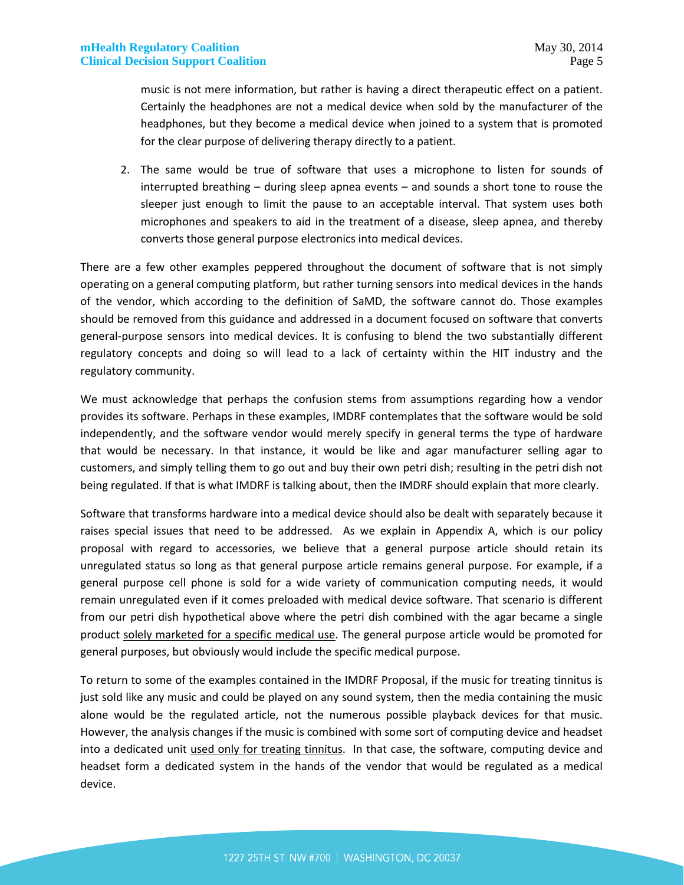music is not mere information, but rather is having a direct therapeutic effect on a patient. Certainly the headphones are not a medical device when sold by the manufacturer of the headphones, but they become a medical device when joined to a system that is promoted for the clear purpose of delivering therapy directly to a patient.

2. The same would be true of software that uses a microphone to listen for sounds of interrupted breathing – during sleep apnea events – and sounds a short tone to rouse the sleeper just enough to limit the pause to an acceptable interval. That system uses both microphones and speakers to aid in the treatment of a disease, sleep apnea, and thereby converts those general purpose electronics into medical devices.

There are a few other examples peppered throughout the document of software that is not simply operating on a general computing platform, but rather turning sensors into medical devices in the hands of the vendor, which according to the definition of SaMD, the software cannot do. Those examples should be removed from this guidance and addressed in a document focused on software that converts general-purpose sensors into medical devices. It is confusing to blend the two substantially different regulatory concepts and doing so will lead to a lack of certainty within the HIT industry and the regulatory community.

We must acknowledge that perhaps the confusion stems from assumptions regarding how a vendor provides its software. Perhaps in these examples, IMDRF contemplates that the software would be sold independently, and the software vendor would merely specify in general terms the type of hardware that would be necessary. In that instance, it would be like and agar manufacturer selling agar to customers, and simply telling them to go out and buy their own petri dish; resulting in the petri dish not being regulated. If that is what IMDRF is talking about, then the IMDRF should explain that more clearly.

Software that transforms hardware into a medical device should also be dealt with separately because it raises special issues that need to be addressed. As we explain in Appendix A, which is our policy proposal with regard to accessories, we believe that a general purpose article should retain its unregulated status so long as that general purpose article remains general purpose. For example, if a general purpose cell phone is sold for a wide variety of communication computing needs, it would remain unregulated even if it comes preloaded with medical device software. That scenario is different from our petri dish hypothetical above where the petri dish combined with the agar became a single product solely marketed for a specific medical use. The general purpose article would be promoted for general purposes, but obviously would include the specific medical purpose.

To return to some of the examples contained in the IMDRF Proposal, if the music for treating tinnitus is just sold like any music and could be played on any sound system, then the media containing the music alone would be the regulated article, not the numerous possible playback devices for that music. However, the analysis changes if the music is combined with some sort of computing device and headset into a dedicated unit used only for treating tinnitus. In that case, the software, computing device and headset form a dedicated system in the hands of the vendor that would be regulated as a medical device.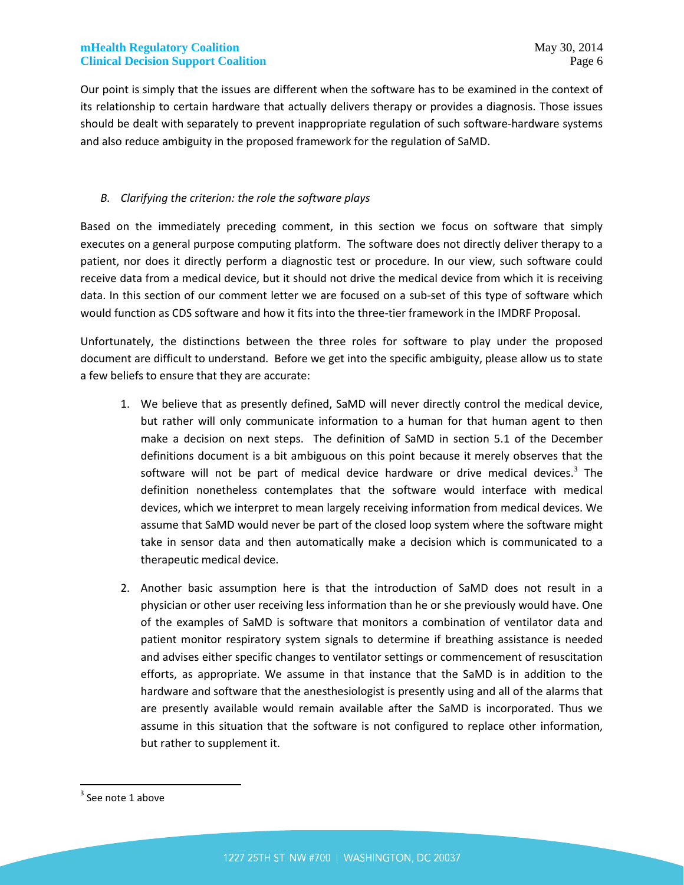Our point is simply that the issues are different when the software has to be examined in the context of its relationship to certain hardware that actually delivers therapy or provides a diagnosis. Those issues should be dealt with separately to prevent inappropriate regulation of such software-hardware systems and also reduce ambiguity in the proposed framework for the regulation of SaMD.

### *B. Clarifying the criterion: the role the software plays*

Based on the immediately preceding comment, in this section we focus on software that simply executes on a general purpose computing platform. The software does not directly deliver therapy to a patient, nor does it directly perform a diagnostic test or procedure. In our view, such software could receive data from a medical device, but it should not drive the medical device from which it is receiving data. In this section of our comment letter we are focused on a sub-set of this type of software which would function as CDS software and how it fits into the three-tier framework in the IMDRF Proposal.

Unfortunately, the distinctions between the three roles for software to play under the proposed document are difficult to understand. Before we get into the specific ambiguity, please allow us to state a few beliefs to ensure that they are accurate:

- 1. We believe that as presently defined, SaMD will never directly control the medical device, but rather will only communicate information to a human for that human agent to then make a decision on next steps. The definition of SaMD in section 5.1 of the December definitions document is a bit ambiguous on this point because it merely observes that the software will not be part of medical device hardware or drive medical devices.<sup>3</sup> The definition nonetheless contemplates that the software would interface with medical devices, which we interpret to mean largely receiving information from medical devices. We assume that SaMD would never be part of the closed loop system where the software might take in sensor data and then automatically make a decision which is communicated to a therapeutic medical device.
- 2. Another basic assumption here is that the introduction of SaMD does not result in a physician or other user receiving less information than he or she previously would have. One of the examples of SaMD is software that monitors a combination of ventilator data and patient monitor respiratory system signals to determine if breathing assistance is needed and advises either specific changes to ventilator settings or commencement of resuscitation efforts, as appropriate. We assume in that instance that the SaMD is in addition to the hardware and software that the anesthesiologist is presently using and all of the alarms that are presently available would remain available after the SaMD is incorporated. Thus we assume in this situation that the software is not configured to replace other information, but rather to supplement it.

 $3$  See note 1 above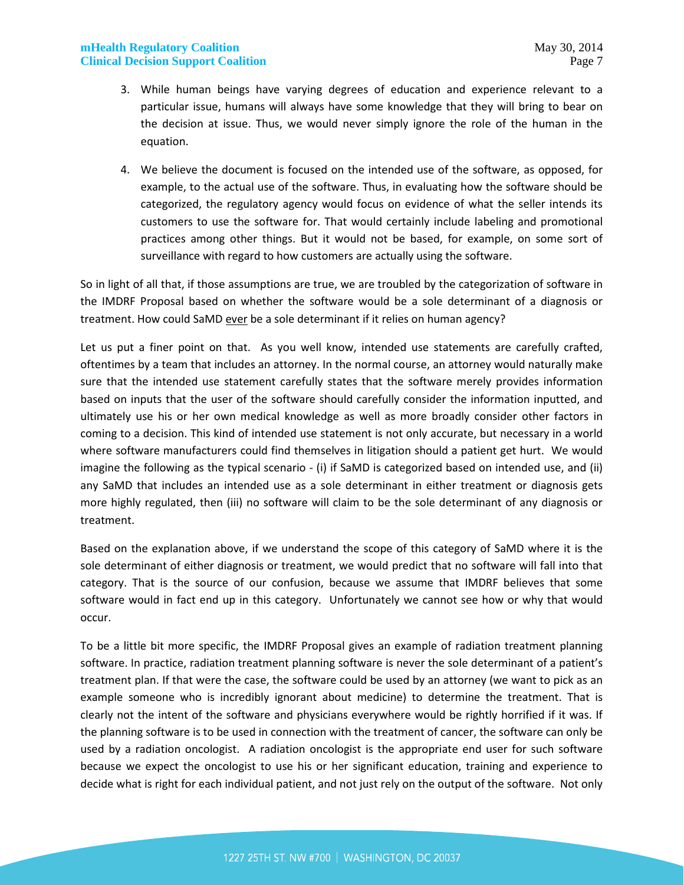### **mHealth Regulatory Coalition** May 30, 2014 **Clinical Decision Support Coalition Page 7 Page 7 Page 7 Page 7 Page 7 Page 7 Page 7**

- 3. While human beings have varying degrees of education and experience relevant to a particular issue, humans will always have some knowledge that they will bring to bear on the decision at issue. Thus, we would never simply ignore the role of the human in the equation.
- 4. We believe the document is focused on the intended use of the software, as opposed, for example, to the actual use of the software. Thus, in evaluating how the software should be categorized, the regulatory agency would focus on evidence of what the seller intends its customers to use the software for. That would certainly include labeling and promotional practices among other things. But it would not be based, for example, on some sort of surveillance with regard to how customers are actually using the software.

So in light of all that, if those assumptions are true, we are troubled by the categorization of software in the IMDRF Proposal based on whether the software would be a sole determinant of a diagnosis or treatment. How could SaMD ever be a sole determinant if it relies on human agency?

Let us put a finer point on that. As you well know, intended use statements are carefully crafted, oftentimes by a team that includes an attorney. In the normal course, an attorney would naturally make sure that the intended use statement carefully states that the software merely provides information based on inputs that the user of the software should carefully consider the information inputted, and ultimately use his or her own medical knowledge as well as more broadly consider other factors in coming to a decision. This kind of intended use statement is not only accurate, but necessary in a world where software manufacturers could find themselves in litigation should a patient get hurt. We would imagine the following as the typical scenario - (i) if SaMD is categorized based on intended use, and (ii) any SaMD that includes an intended use as a sole determinant in either treatment or diagnosis gets more highly regulated, then (iii) no software will claim to be the sole determinant of any diagnosis or treatment.

Based on the explanation above, if we understand the scope of this category of SaMD where it is the sole determinant of either diagnosis or treatment, we would predict that no software will fall into that category. That is the source of our confusion, because we assume that IMDRF believes that some software would in fact end up in this category. Unfortunately we cannot see how or why that would occur.

To be a little bit more specific, the IMDRF Proposal gives an example of radiation treatment planning software. In practice, radiation treatment planning software is never the sole determinant of a patient's treatment plan. If that were the case, the software could be used by an attorney (we want to pick as an example someone who is incredibly ignorant about medicine) to determine the treatment. That is clearly not the intent of the software and physicians everywhere would be rightly horrified if it was. If the planning software is to be used in connection with the treatment of cancer, the software can only be used by a radiation oncologist. A radiation oncologist is the appropriate end user for such software because we expect the oncologist to use his or her significant education, training and experience to decide what is right for each individual patient, and not just rely on the output of the software. Not only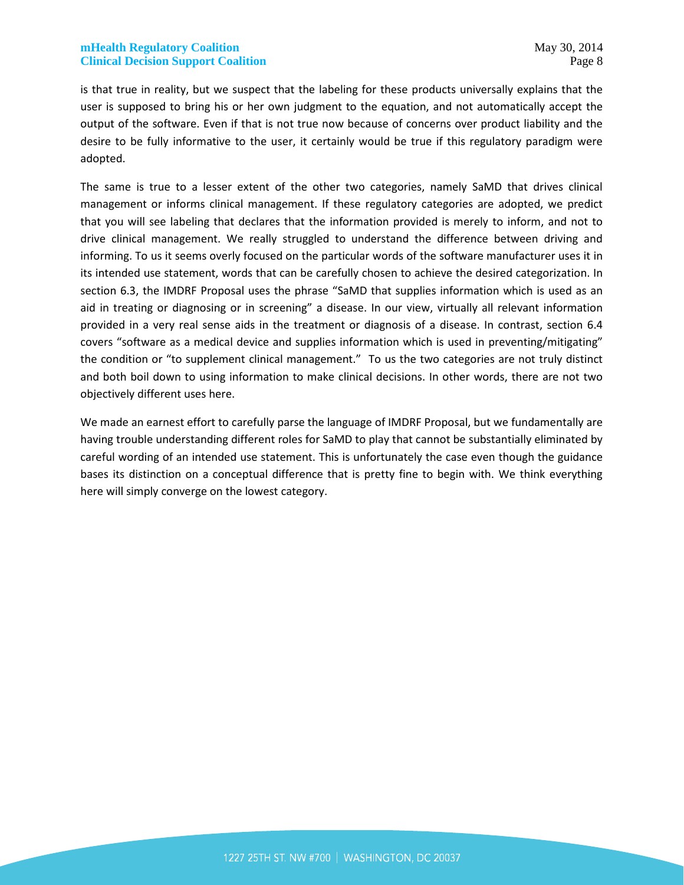is that true in reality, but we suspect that the labeling for these products universally explains that the user is supposed to bring his or her own judgment to the equation, and not automatically accept the output of the software. Even if that is not true now because of concerns over product liability and the desire to be fully informative to the user, it certainly would be true if this regulatory paradigm were adopted.

The same is true to a lesser extent of the other two categories, namely SaMD that drives clinical management or informs clinical management. If these regulatory categories are adopted, we predict that you will see labeling that declares that the information provided is merely to inform, and not to drive clinical management. We really struggled to understand the difference between driving and informing. To us it seems overly focused on the particular words of the software manufacturer uses it in its intended use statement, words that can be carefully chosen to achieve the desired categorization. In section 6.3, the IMDRF Proposal uses the phrase "SaMD that supplies information which is used as an aid in treating or diagnosing or in screening" a disease. In our view, virtually all relevant information provided in a very real sense aids in the treatment or diagnosis of a disease. In contrast, section 6.4 covers "software as a medical device and supplies information which is used in preventing/mitigating" the condition or "to supplement clinical management." To us the two categories are not truly distinct and both boil down to using information to make clinical decisions. In other words, there are not two objectively different uses here.

We made an earnest effort to carefully parse the language of IMDRF Proposal, but we fundamentally are having trouble understanding different roles for SaMD to play that cannot be substantially eliminated by careful wording of an intended use statement. This is unfortunately the case even though the guidance bases its distinction on a conceptual difference that is pretty fine to begin with. We think everything here will simply converge on the lowest category.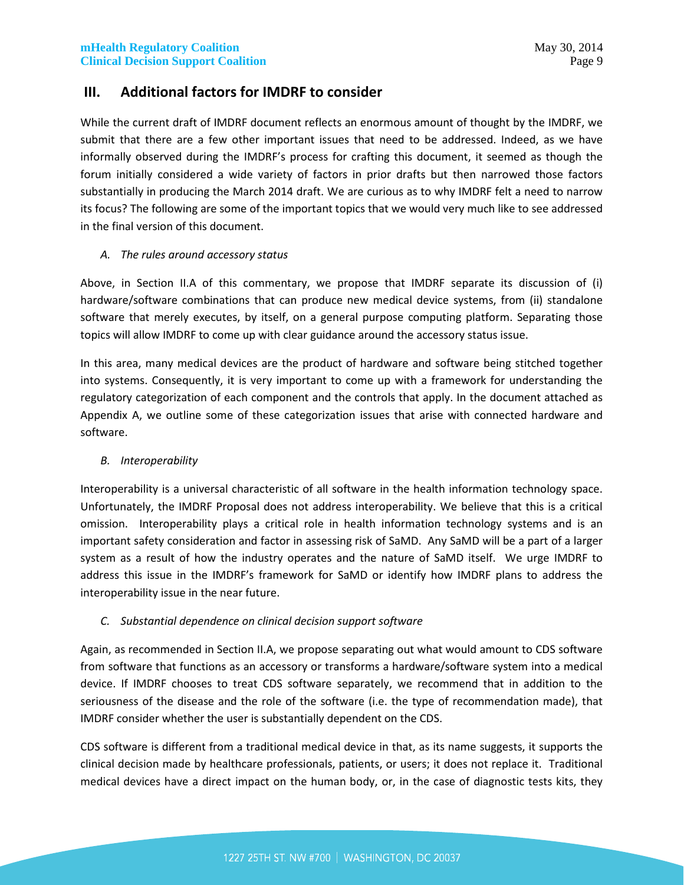# **III. Additional factors for IMDRF to consider**

While the current draft of IMDRF document reflects an enormous amount of thought by the IMDRF, we submit that there are a few other important issues that need to be addressed. Indeed, as we have informally observed during the IMDRF's process for crafting this document, it seemed as though the forum initially considered a wide variety of factors in prior drafts but then narrowed those factors substantially in producing the March 2014 draft. We are curious as to why IMDRF felt a need to narrow its focus? The following are some of the important topics that we would very much like to see addressed in the final version of this document.

### *A. The rules around accessory status*

Above, in Section II.A of this commentary, we propose that IMDRF separate its discussion of (i) hardware/software combinations that can produce new medical device systems, from (ii) standalone software that merely executes, by itself, on a general purpose computing platform. Separating those topics will allow IMDRF to come up with clear guidance around the accessory status issue.

In this area, many medical devices are the product of hardware and software being stitched together into systems. Consequently, it is very important to come up with a framework for understanding the regulatory categorization of each component and the controls that apply. In the document attached as Appendix A, we outline some of these categorization issues that arise with connected hardware and software.

#### *B. Interoperability*

Interoperability is a universal characteristic of all software in the health information technology space. Unfortunately, the IMDRF Proposal does not address interoperability. We believe that this is a critical omission. Interoperability plays a critical role in health information technology systems and is an important safety consideration and factor in assessing risk of SaMD. Any SaMD will be a part of a larger system as a result of how the industry operates and the nature of SaMD itself. We urge IMDRF to address this issue in the IMDRF's framework for SaMD or identify how IMDRF plans to address the interoperability issue in the near future.

#### *C. Substantial dependence on clinical decision support software*

Again, as recommended in Section II.A, we propose separating out what would amount to CDS software from software that functions as an accessory or transforms a hardware/software system into a medical device. If IMDRF chooses to treat CDS software separately, we recommend that in addition to the seriousness of the disease and the role of the software (i.e. the type of recommendation made), that IMDRF consider whether the user is substantially dependent on the CDS.

CDS software is different from a traditional medical device in that, as its name suggests, it supports the clinical decision made by healthcare professionals, patients, or users; it does not replace it. Traditional medical devices have a direct impact on the human body, or, in the case of diagnostic tests kits, they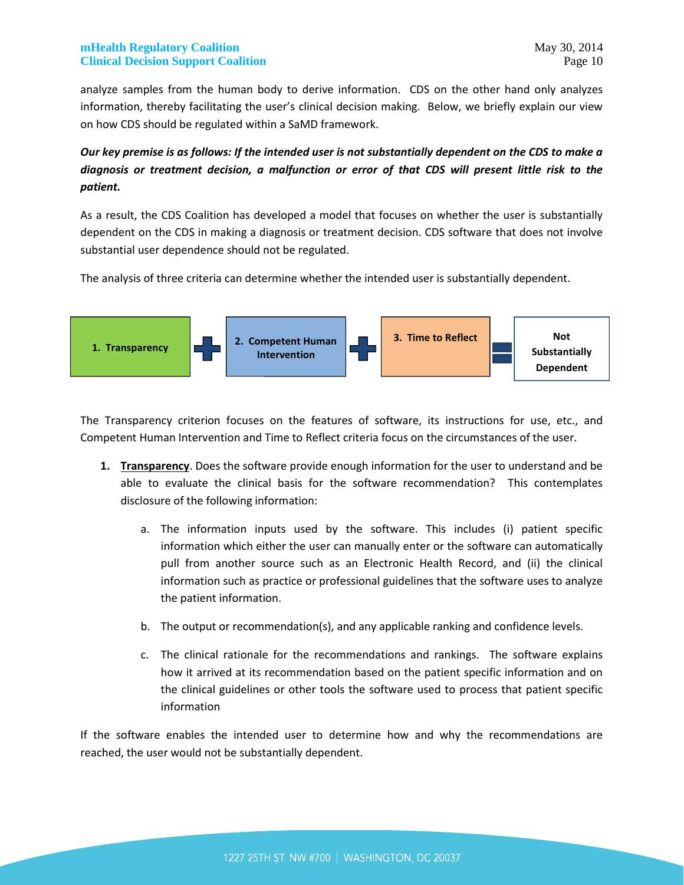analyze samples from the human body to derive information. CDS on the other hand only analyzes information, thereby facilitating the user's clinical decision making. Below, we briefly explain our view on how CDS should be regulated within a SaMD framework.

# *Our key premise is as follows: If the intended user is not substantially dependent on the CDS to make a diagnosis or treatment decision, a malfunction or error of that CDS will present little risk to the patient.*

As a result, the CDS Coalition has developed a model that focuses on whether the user is substantially dependent on the CDS in making a diagnosis or treatment decision. CDS software that does not involve substantial user dependence should not be regulated.

The analysis of three criteria can determine whether the intended user is substantially dependent.



The Transparency criterion focuses on the features of software, its instructions for use, etc., and Competent Human Intervention and Time to Reflect criteria focus on the circumstances of the user.

- **1. Transparency**. Does the software provide enough information for the user to understand and be able to evaluate the clinical basis for the software recommendation? This contemplates disclosure of the following information:
	- a. The information inputs used by the software. This includes (i) patient specific information which either the user can manually enter or the software can automatically pull from another source such as an Electronic Health Record, and (ii) the clinical information such as practice or professional guidelines that the software uses to analyze the patient information.
	- b. The output or recommendation(s), and any applicable ranking and confidence levels.
	- c. The clinical rationale for the recommendations and rankings. The software explains how it arrived at its recommendation based on the patient specific information and on the clinical guidelines or other tools the software used to process that patient specific information

If the software enables the intended user to determine how and why the recommendations are reached, the user would not be substantially dependent.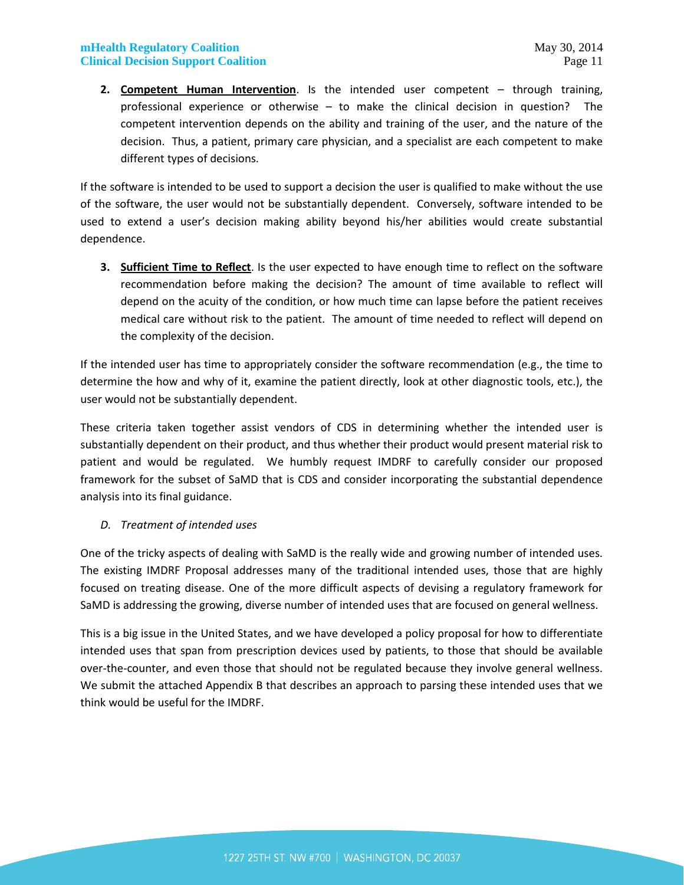**2. Competent Human Intervention**. Is the intended user competent – through training, professional experience or otherwise – to make the clinical decision in question? The competent intervention depends on the ability and training of the user, and the nature of the decision. Thus, a patient, primary care physician, and a specialist are each competent to make different types of decisions.

If the software is intended to be used to support a decision the user is qualified to make without the use of the software, the user would not be substantially dependent. Conversely, software intended to be used to extend a user's decision making ability beyond his/her abilities would create substantial dependence.

**3. Sufficient Time to Reflect**. Is the user expected to have enough time to reflect on the software recommendation before making the decision? The amount of time available to reflect will depend on the acuity of the condition, or how much time can lapse before the patient receives medical care without risk to the patient. The amount of time needed to reflect will depend on the complexity of the decision.

If the intended user has time to appropriately consider the software recommendation (e.g., the time to determine the how and why of it, examine the patient directly, look at other diagnostic tools, etc.), the user would not be substantially dependent.

These criteria taken together assist vendors of CDS in determining whether the intended user is substantially dependent on their product, and thus whether their product would present material risk to patient and would be regulated. We humbly request IMDRF to carefully consider our proposed framework for the subset of SaMD that is CDS and consider incorporating the substantial dependence analysis into its final guidance.

#### *D. Treatment of intended uses*

One of the tricky aspects of dealing with SaMD is the really wide and growing number of intended uses. The existing IMDRF Proposal addresses many of the traditional intended uses, those that are highly focused on treating disease. One of the more difficult aspects of devising a regulatory framework for SaMD is addressing the growing, diverse number of intended uses that are focused on general wellness.

This is a big issue in the United States, and we have developed a policy proposal for how to differentiate intended uses that span from prescription devices used by patients, to those that should be available over-the-counter, and even those that should not be regulated because they involve general wellness. We submit the attached Appendix B that describes an approach to parsing these intended uses that we think would be useful for the IMDRF.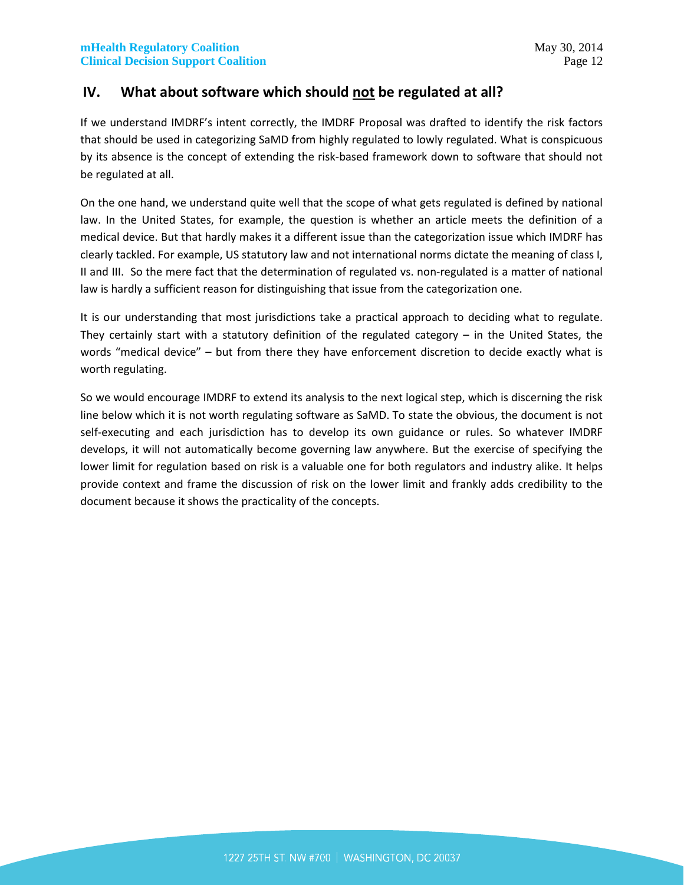# **IV. What about software which should not be regulated at all?**

If we understand IMDRF's intent correctly, the IMDRF Proposal was drafted to identify the risk factors that should be used in categorizing SaMD from highly regulated to lowly regulated. What is conspicuous by its absence is the concept of extending the risk-based framework down to software that should not be regulated at all.

On the one hand, we understand quite well that the scope of what gets regulated is defined by national law. In the United States, for example, the question is whether an article meets the definition of a medical device. But that hardly makes it a different issue than the categorization issue which IMDRF has clearly tackled. For example, US statutory law and not international norms dictate the meaning of class I, II and III. So the mere fact that the determination of regulated vs. non-regulated is a matter of national law is hardly a sufficient reason for distinguishing that issue from the categorization one.

It is our understanding that most jurisdictions take a practical approach to deciding what to regulate. They certainly start with a statutory definition of the regulated category – in the United States, the words "medical device" – but from there they have enforcement discretion to decide exactly what is worth regulating.

So we would encourage IMDRF to extend its analysis to the next logical step, which is discerning the risk line below which it is not worth regulating software as SaMD. To state the obvious, the document is not self-executing and each jurisdiction has to develop its own guidance or rules. So whatever IMDRF develops, it will not automatically become governing law anywhere. But the exercise of specifying the lower limit for regulation based on risk is a valuable one for both regulators and industry alike. It helps provide context and frame the discussion of risk on the lower limit and frankly adds credibility to the document because it shows the practicality of the concepts.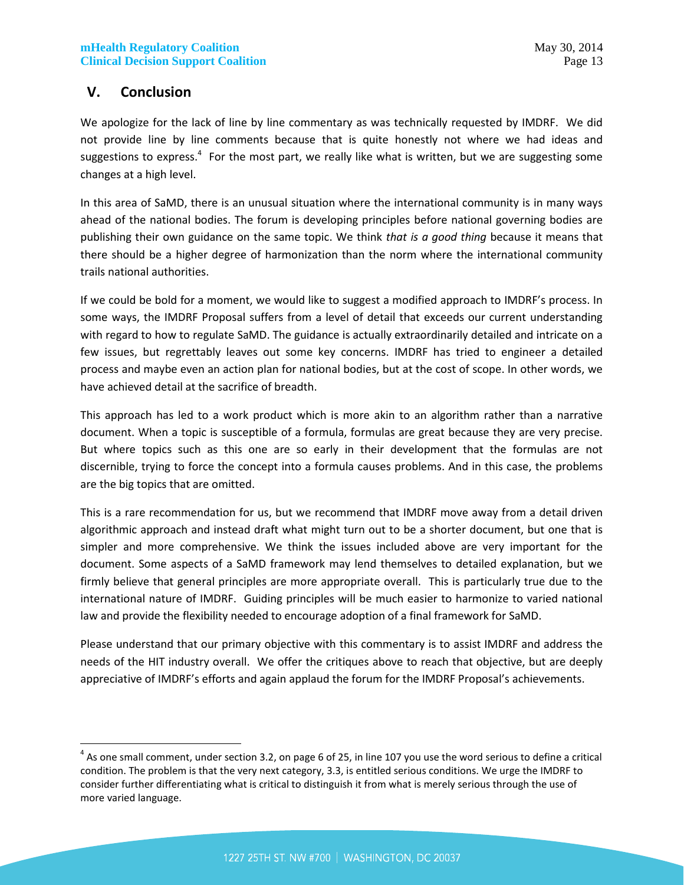# **V. Conclusion**

We apologize for the lack of line by line commentary as was technically requested by IMDRF. We did not provide line by line comments because that is quite honestly not where we had ideas and suggestions to express.<sup>4</sup> For the most part, we really like what is written, but we are suggesting some changes at a high level.

In this area of SaMD, there is an unusual situation where the international community is in many ways ahead of the national bodies. The forum is developing principles before national governing bodies are publishing their own guidance on the same topic. We think *that is a good thing* because it means that there should be a higher degree of harmonization than the norm where the international community trails national authorities.

If we could be bold for a moment, we would like to suggest a modified approach to IMDRF's process. In some ways, the IMDRF Proposal suffers from a level of detail that exceeds our current understanding with regard to how to regulate SaMD. The guidance is actually extraordinarily detailed and intricate on a few issues, but regrettably leaves out some key concerns. IMDRF has tried to engineer a detailed process and maybe even an action plan for national bodies, but at the cost of scope. In other words, we have achieved detail at the sacrifice of breadth.

This approach has led to a work product which is more akin to an algorithm rather than a narrative document. When a topic is susceptible of a formula, formulas are great because they are very precise. But where topics such as this one are so early in their development that the formulas are not discernible, trying to force the concept into a formula causes problems. And in this case, the problems are the big topics that are omitted.

This is a rare recommendation for us, but we recommend that IMDRF move away from a detail driven algorithmic approach and instead draft what might turn out to be a shorter document, but one that is simpler and more comprehensive. We think the issues included above are very important for the document. Some aspects of a SaMD framework may lend themselves to detailed explanation, but we firmly believe that general principles are more appropriate overall. This is particularly true due to the international nature of IMDRF. Guiding principles will be much easier to harmonize to varied national law and provide the flexibility needed to encourage adoption of a final framework for SaMD.

Please understand that our primary objective with this commentary is to assist IMDRF and address the needs of the HIT industry overall. We offer the critiques above to reach that objective, but are deeply appreciative of IMDRF's efforts and again applaud the forum for the IMDRF Proposal's achievements.

 $^4$  As one small comment, under section 3.2, on page 6 of 25, in line 107 you use the word serious to define a critical condition. The problem is that the very next category, 3.3, is entitled serious conditions. We urge the IMDRF to consider further differentiating what is critical to distinguish it from what is merely serious through the use of more varied language.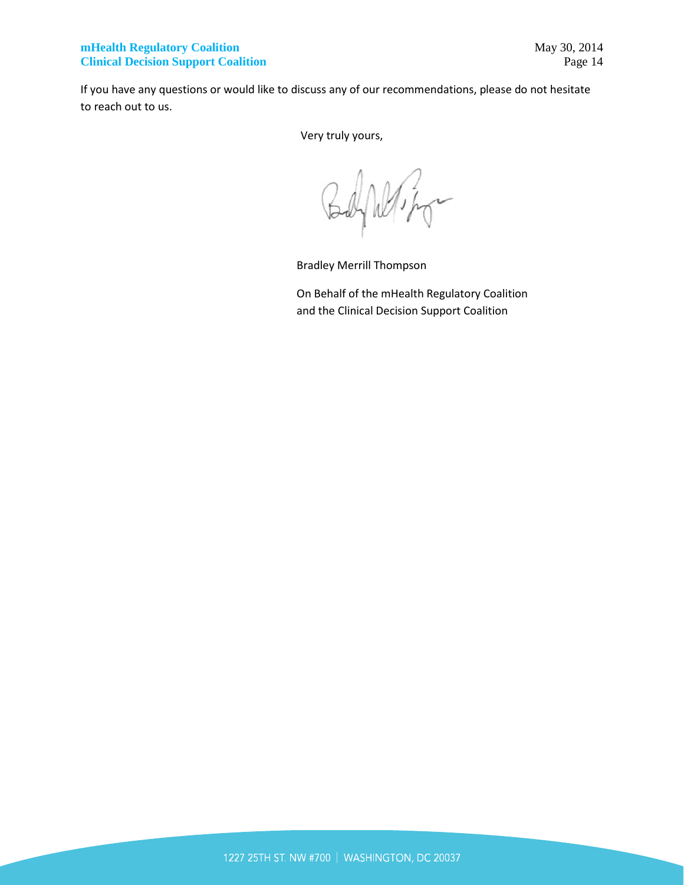If you have any questions or would like to discuss any of our recommendations, please do not hesitate to reach out to us.

Very truly yours,

Wipp

Bradley Merrill Thompson

On Behalf of the mHealth Regulatory Coalition and the Clinical Decision Support Coalition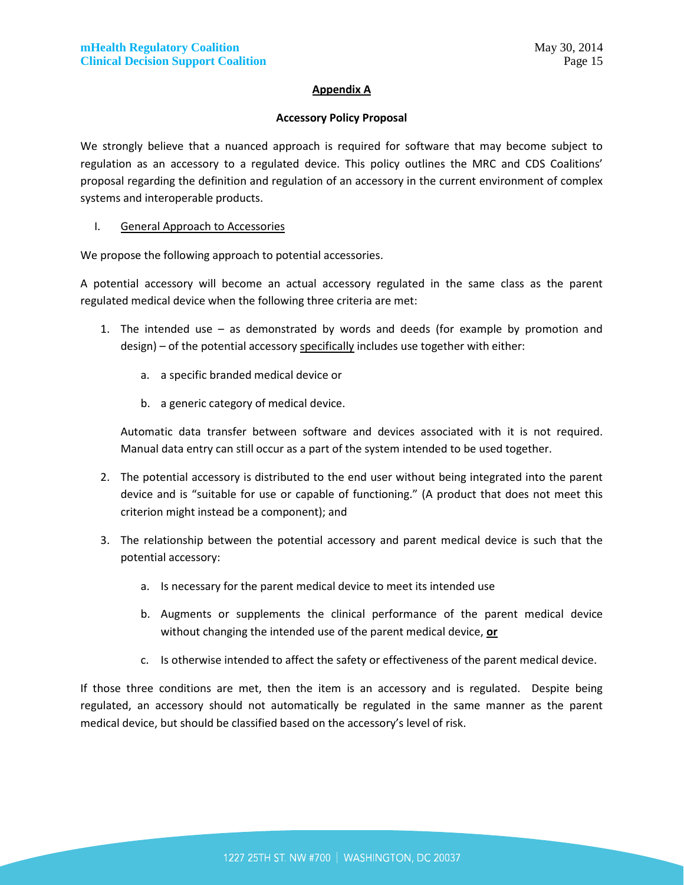#### **Appendix A**

#### **Accessory Policy Proposal**

We strongly believe that a nuanced approach is required for software that may become subject to regulation as an accessory to a regulated device. This policy outlines the MRC and CDS Coalitions' proposal regarding the definition and regulation of an accessory in the current environment of complex systems and interoperable products.

#### I. General Approach to Accessories

We propose the following approach to potential accessories.

A potential accessory will become an actual accessory regulated in the same class as the parent regulated medical device when the following three criteria are met:

- 1. The intended use as demonstrated by words and deeds (for example by promotion and  $design$ ) – of the potential accessory specifically includes use together with either:
	- a. a specific branded medical device or
	- b. a generic category of medical device.

Automatic data transfer between software and devices associated with it is not required. Manual data entry can still occur as a part of the system intended to be used together.

- 2. The potential accessory is distributed to the end user without being integrated into the parent device and is "suitable for use or capable of functioning." (A product that does not meet this criterion might instead be a component); and
- 3. The relationship between the potential accessory and parent medical device is such that the potential accessory:
	- a. Is necessary for the parent medical device to meet its intended use
	- b. Augments or supplements the clinical performance of the parent medical device without changing the intended use of the parent medical device, **or**
	- c. Is otherwise intended to affect the safety or effectiveness of the parent medical device.

If those three conditions are met, then the item is an accessory and is regulated. Despite being regulated, an accessory should not automatically be regulated in the same manner as the parent medical device, but should be classified based on the accessory's level of risk.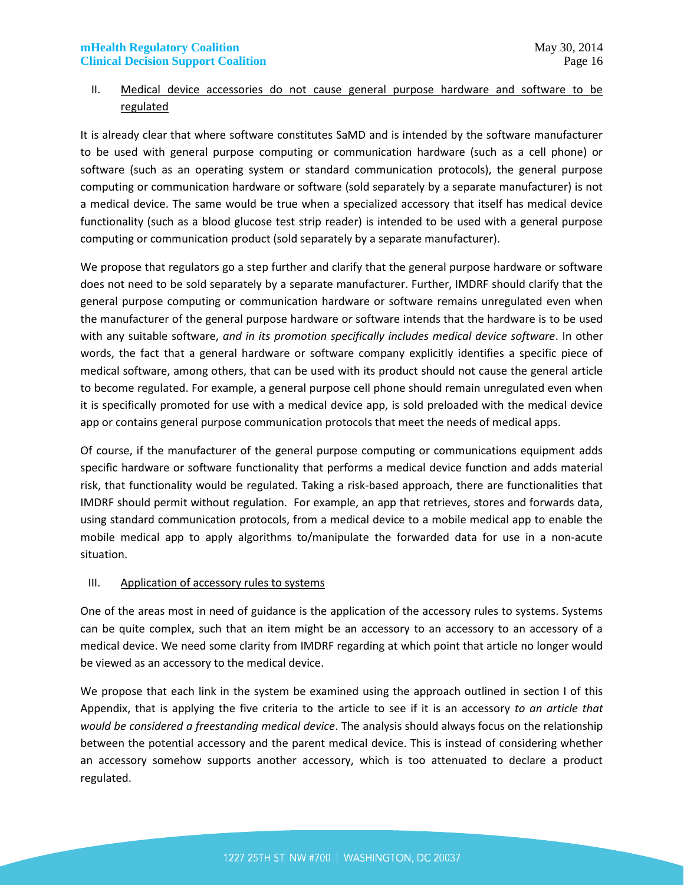## II. Medical device accessories do not cause general purpose hardware and software to be regulated

It is already clear that where software constitutes SaMD and is intended by the software manufacturer to be used with general purpose computing or communication hardware (such as a cell phone) or software (such as an operating system or standard communication protocols), the general purpose computing or communication hardware or software (sold separately by a separate manufacturer) is not a medical device. The same would be true when a specialized accessory that itself has medical device functionality (such as a blood glucose test strip reader) is intended to be used with a general purpose computing or communication product (sold separately by a separate manufacturer).

We propose that regulators go a step further and clarify that the general purpose hardware or software does not need to be sold separately by a separate manufacturer. Further, IMDRF should clarify that the general purpose computing or communication hardware or software remains unregulated even when the manufacturer of the general purpose hardware or software intends that the hardware is to be used with any suitable software, *and in its promotion specifically includes medical device software*. In other words, the fact that a general hardware or software company explicitly identifies a specific piece of medical software, among others, that can be used with its product should not cause the general article to become regulated. For example, a general purpose cell phone should remain unregulated even when it is specifically promoted for use with a medical device app, is sold preloaded with the medical device app or contains general purpose communication protocols that meet the needs of medical apps.

Of course, if the manufacturer of the general purpose computing or communications equipment adds specific hardware or software functionality that performs a medical device function and adds material risk, that functionality would be regulated. Taking a risk-based approach, there are functionalities that IMDRF should permit without regulation. For example, an app that retrieves, stores and forwards data, using standard communication protocols, from a medical device to a mobile medical app to enable the mobile medical app to apply algorithms to/manipulate the forwarded data for use in a non-acute situation.

#### III. Application of accessory rules to systems

One of the areas most in need of guidance is the application of the accessory rules to systems. Systems can be quite complex, such that an item might be an accessory to an accessory to an accessory of a medical device. We need some clarity from IMDRF regarding at which point that article no longer would be viewed as an accessory to the medical device.

We propose that each link in the system be examined using the approach outlined in section I of this Appendix, that is applying the five criteria to the article to see if it is an accessory *to an article that would be considered a freestanding medical device*. The analysis should always focus on the relationship between the potential accessory and the parent medical device. This is instead of considering whether an accessory somehow supports another accessory, which is too attenuated to declare a product regulated.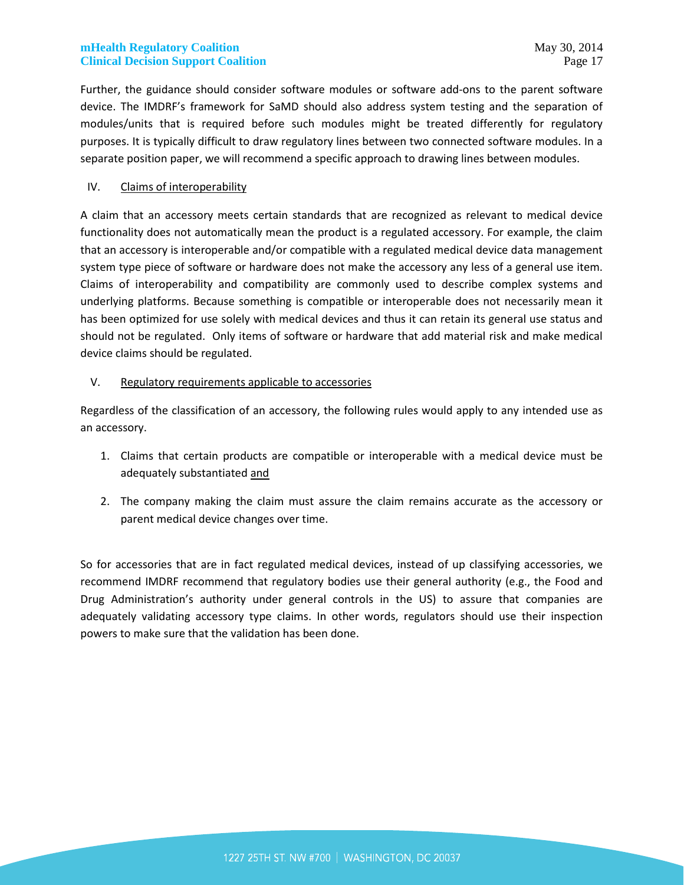Further, the guidance should consider software modules or software add-ons to the parent software device. The IMDRF's framework for SaMD should also address system testing and the separation of modules/units that is required before such modules might be treated differently for regulatory purposes. It is typically difficult to draw regulatory lines between two connected software modules. In a separate position paper, we will recommend a specific approach to drawing lines between modules.

#### IV. Claims of interoperability

A claim that an accessory meets certain standards that are recognized as relevant to medical device functionality does not automatically mean the product is a regulated accessory. For example, the claim that an accessory is interoperable and/or compatible with a regulated medical device data management system type piece of software or hardware does not make the accessory any less of a general use item. Claims of interoperability and compatibility are commonly used to describe complex systems and underlying platforms. Because something is compatible or interoperable does not necessarily mean it has been optimized for use solely with medical devices and thus it can retain its general use status and should not be regulated. Only items of software or hardware that add material risk and make medical device claims should be regulated.

#### V. Regulatory requirements applicable to accessories

Regardless of the classification of an accessory, the following rules would apply to any intended use as an accessory.

- 1. Claims that certain products are compatible or interoperable with a medical device must be adequately substantiated and
- 2. The company making the claim must assure the claim remains accurate as the accessory or parent medical device changes over time.

So for accessories that are in fact regulated medical devices, instead of up classifying accessories, we recommend IMDRF recommend that regulatory bodies use their general authority (e.g., the Food and Drug Administration's authority under general controls in the US) to assure that companies are adequately validating accessory type claims. In other words, regulators should use their inspection powers to make sure that the validation has been done.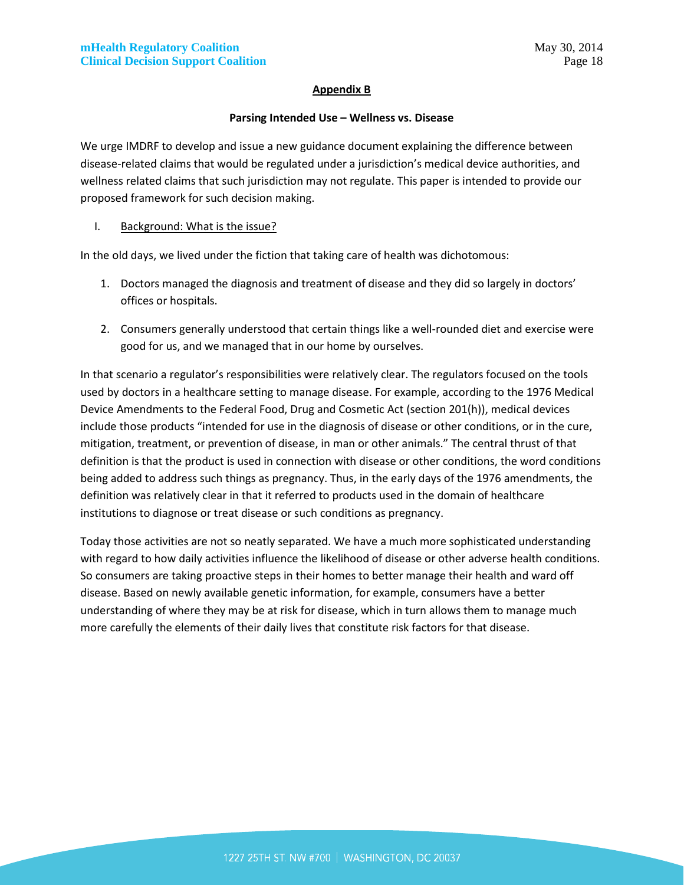#### **Appendix B**

#### **Parsing Intended Use – Wellness vs. Disease**

We urge IMDRF to develop and issue a new guidance document explaining the difference between disease-related claims that would be regulated under a jurisdiction's medical device authorities, and wellness related claims that such jurisdiction may not regulate. This paper is intended to provide our proposed framework for such decision making.

#### I. Background: What is the issue?

In the old days, we lived under the fiction that taking care of health was dichotomous:

- 1. Doctors managed the diagnosis and treatment of disease and they did so largely in doctors' offices or hospitals.
- 2. Consumers generally understood that certain things like a well-rounded diet and exercise were good for us, and we managed that in our home by ourselves.

In that scenario a regulator's responsibilities were relatively clear. The regulators focused on the tools used by doctors in a healthcare setting to manage disease. For example, according to the 1976 Medical Device Amendments to the Federal Food, Drug and Cosmetic Act (section 201(h)), medical devices include those products "intended for use in the diagnosis of disease or other conditions, or in the cure, mitigation, treatment, or prevention of disease, in man or other animals." The central thrust of that definition is that the product is used in connection with disease or other conditions, the word conditions being added to address such things as pregnancy. Thus, in the early days of the 1976 amendments, the definition was relatively clear in that it referred to products used in the domain of healthcare institutions to diagnose or treat disease or such conditions as pregnancy.

Today those activities are not so neatly separated. We have a much more sophisticated understanding with regard to how daily activities influence the likelihood of disease or other adverse health conditions. So consumers are taking proactive steps in their homes to better manage their health and ward off disease. Based on newly available genetic information, for example, consumers have a better understanding of where they may be at risk for disease, which in turn allows them to manage much more carefully the elements of their daily lives that constitute risk factors for that disease.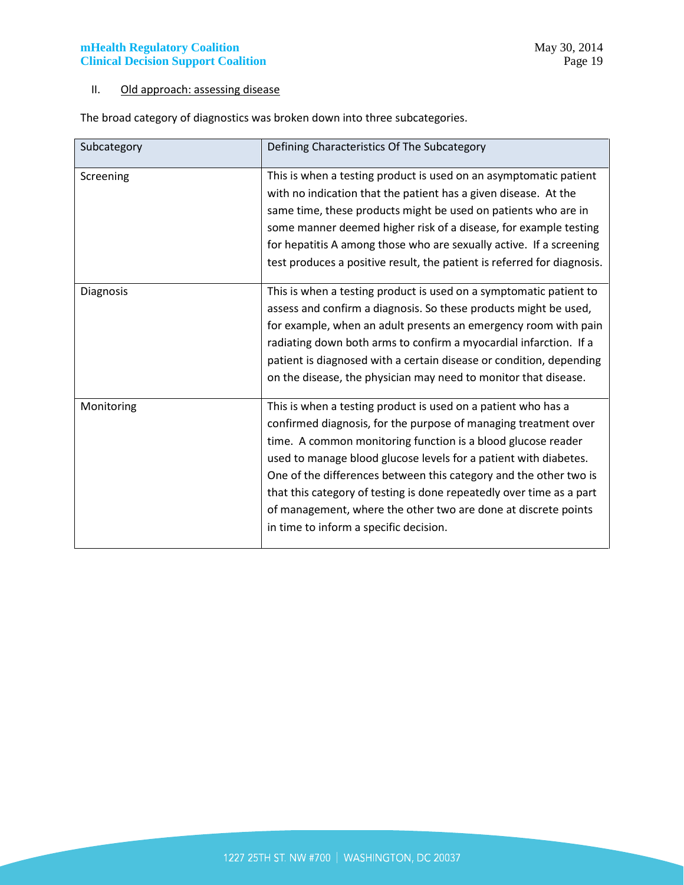## II. Old approach: assessing disease

The broad category of diagnostics was broken down into three subcategories.

| Subcategory | Defining Characteristics Of The Subcategory                                                                                                                                                                                                                                                                                                                                                                                                                                                                                   |
|-------------|-------------------------------------------------------------------------------------------------------------------------------------------------------------------------------------------------------------------------------------------------------------------------------------------------------------------------------------------------------------------------------------------------------------------------------------------------------------------------------------------------------------------------------|
| Screening   | This is when a testing product is used on an asymptomatic patient<br>with no indication that the patient has a given disease. At the<br>same time, these products might be used on patients who are in<br>some manner deemed higher risk of a disease, for example testing<br>for hepatitis A among those who are sexually active. If a screening<br>test produces a positive result, the patient is referred for diagnosis.                                                                                                  |
| Diagnosis   | This is when a testing product is used on a symptomatic patient to<br>assess and confirm a diagnosis. So these products might be used,<br>for example, when an adult presents an emergency room with pain<br>radiating down both arms to confirm a myocardial infarction. If a<br>patient is diagnosed with a certain disease or condition, depending<br>on the disease, the physician may need to monitor that disease.                                                                                                      |
| Monitoring  | This is when a testing product is used on a patient who has a<br>confirmed diagnosis, for the purpose of managing treatment over<br>time. A common monitoring function is a blood glucose reader<br>used to manage blood glucose levels for a patient with diabetes.<br>One of the differences between this category and the other two is<br>that this category of testing is done repeatedly over time as a part<br>of management, where the other two are done at discrete points<br>in time to inform a specific decision. |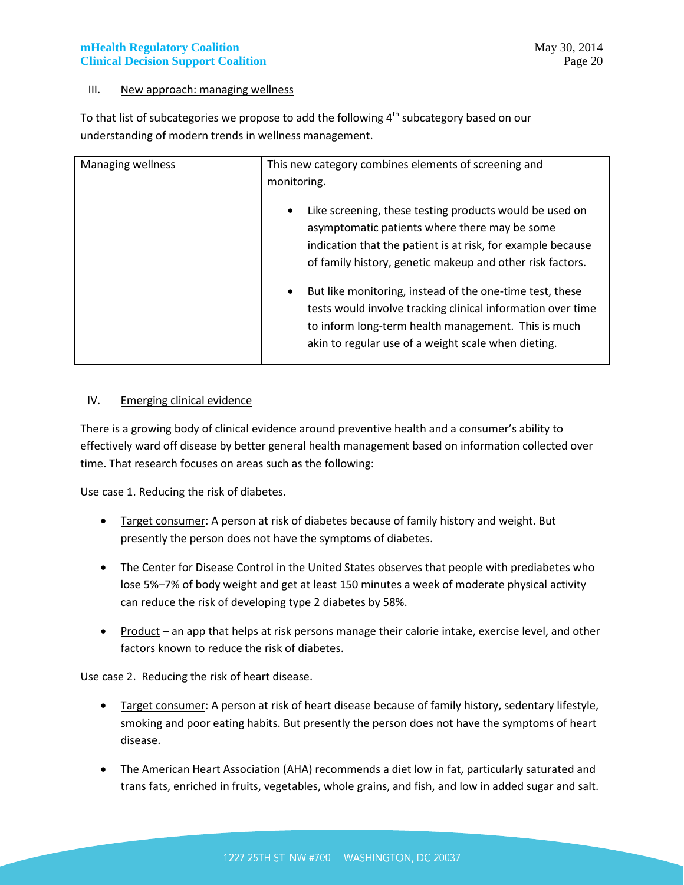#### III. New approach: managing wellness

To that list of subcategories we propose to add the following  $4<sup>th</sup>$  subcategory based on our understanding of modern trends in wellness management.

| Managing wellness | This new category combines elements of screening and<br>monitoring.                                                                                                                                                                                |
|-------------------|----------------------------------------------------------------------------------------------------------------------------------------------------------------------------------------------------------------------------------------------------|
|                   | Like screening, these testing products would be used on<br>$\bullet$<br>asymptomatic patients where there may be some<br>indication that the patient is at risk, for example because<br>of family history, genetic makeup and other risk factors.  |
|                   | But like monitoring, instead of the one-time test, these<br>$\bullet$<br>tests would involve tracking clinical information over time<br>to inform long-term health management. This is much<br>akin to regular use of a weight scale when dieting. |

#### IV. Emerging clinical evidence

There is a growing body of clinical evidence around preventive health and a consumer's ability to effectively ward off disease by better general health management based on information collected over time. That research focuses on areas such as the following:

Use case 1. Reducing the risk of diabetes.

- Target consumer: A person at risk of diabetes because of family history and weight. But presently the person does not have the symptoms of diabetes.
- The Center for Disease Control in the United States observes that people with prediabetes who lose 5%–7% of body weight and get at least 150 minutes a week of moderate physical activity can reduce the risk of developing type 2 diabetes by 58%.
- Product an app that helps at risk persons manage their calorie intake, exercise level, and other factors known to reduce the risk of diabetes.

Use case 2. Reducing the risk of heart disease.

- Target consumer: A person at risk of heart disease because of family history, sedentary lifestyle, smoking and poor eating habits. But presently the person does not have the symptoms of heart disease.
- The American Heart Association (AHA) recommends a diet low in fat, particularly saturated and trans fats, enriched in fruits, vegetables, whole grains, and fish, and low in added sugar and salt.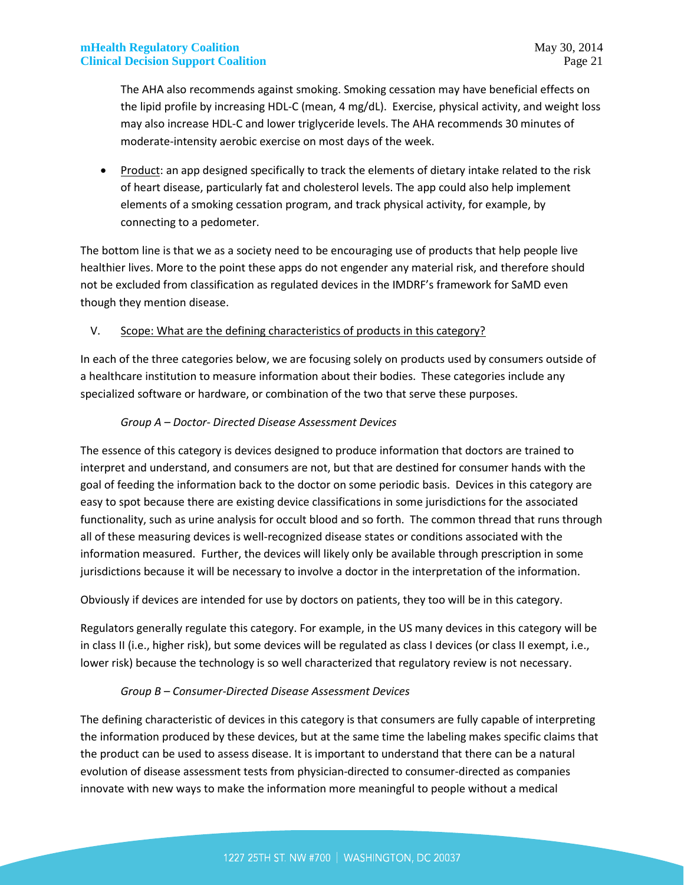The AHA also recommends against smoking. Smoking cessation may have beneficial effects on the lipid profile by increasing HDL-C (mean, 4 mg/dL). Exercise, physical activity, and weight loss may also increase HDL-C and lower triglyceride levels. The AHA recommends 30 minutes of moderate-intensity aerobic exercise on most days of the week.

• Product: an app designed specifically to track the elements of dietary intake related to the risk of heart disease, particularly fat and cholesterol levels. The app could also help implement elements of a smoking cessation program, and track physical activity, for example, by connecting to a pedometer.

The bottom line is that we as a society need to be encouraging use of products that help people live healthier lives. More to the point these apps do not engender any material risk, and therefore should not be excluded from classification as regulated devices in the IMDRF's framework for SaMD even though they mention disease.

#### V. Scope: What are the defining characteristics of products in this category?

In each of the three categories below, we are focusing solely on products used by consumers outside of a healthcare institution to measure information about their bodies. These categories include any specialized software or hardware, or combination of the two that serve these purposes.

#### *Group A – Doctor- Directed Disease Assessment Devices*

The essence of this category is devices designed to produce information that doctors are trained to interpret and understand, and consumers are not, but that are destined for consumer hands with the goal of feeding the information back to the doctor on some periodic basis. Devices in this category are easy to spot because there are existing device classifications in some jurisdictions for the associated functionality, such as urine analysis for occult blood and so forth. The common thread that runs through all of these measuring devices is well-recognized disease states or conditions associated with the information measured. Further, the devices will likely only be available through prescription in some jurisdictions because it will be necessary to involve a doctor in the interpretation of the information.

Obviously if devices are intended for use by doctors on patients, they too will be in this category.

Regulators generally regulate this category. For example, in the US many devices in this category will be in class II (i.e., higher risk), but some devices will be regulated as class I devices (or class II exempt, i.e., lower risk) because the technology is so well characterized that regulatory review is not necessary.

#### *Group B – Consumer-Directed Disease Assessment Devices*

The defining characteristic of devices in this category is that consumers are fully capable of interpreting the information produced by these devices, but at the same time the labeling makes specific claims that the product can be used to assess disease. It is important to understand that there can be a natural evolution of disease assessment tests from physician-directed to consumer-directed as companies innovate with new ways to make the information more meaningful to people without a medical